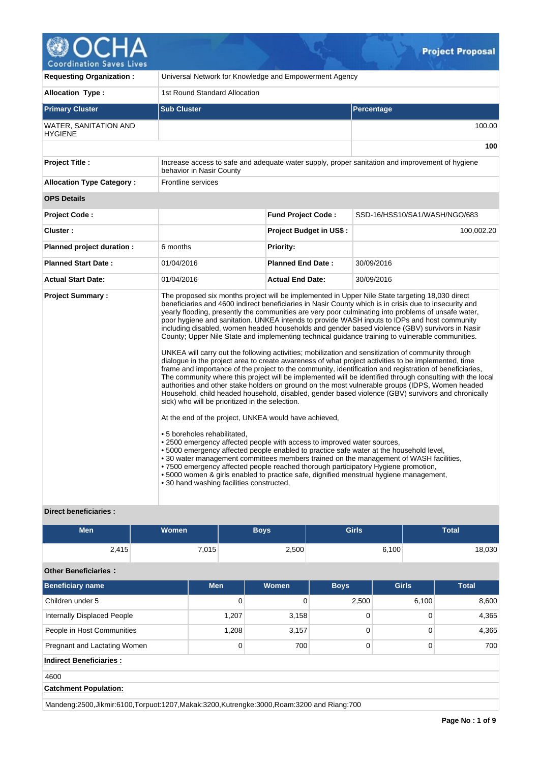

| <b>Requesting Organization:</b>                | Universal Network for Knowledge and Empowerment Agency                                                                                                                                                                                                                                                                                                                                                                                                                                                                                      |                                |                                                                                                                                                                                                                                                                                                                                                                                                                                                                                                                                                                                                                                                                                                                                                                                                                                                                                                                                                                                                                                                                                                                                                                                                                                                                                                                                                                |  |  |
|------------------------------------------------|---------------------------------------------------------------------------------------------------------------------------------------------------------------------------------------------------------------------------------------------------------------------------------------------------------------------------------------------------------------------------------------------------------------------------------------------------------------------------------------------------------------------------------------------|--------------------------------|----------------------------------------------------------------------------------------------------------------------------------------------------------------------------------------------------------------------------------------------------------------------------------------------------------------------------------------------------------------------------------------------------------------------------------------------------------------------------------------------------------------------------------------------------------------------------------------------------------------------------------------------------------------------------------------------------------------------------------------------------------------------------------------------------------------------------------------------------------------------------------------------------------------------------------------------------------------------------------------------------------------------------------------------------------------------------------------------------------------------------------------------------------------------------------------------------------------------------------------------------------------------------------------------------------------------------------------------------------------|--|--|
| <b>Allocation Type:</b>                        | 1st Round Standard Allocation                                                                                                                                                                                                                                                                                                                                                                                                                                                                                                               |                                |                                                                                                                                                                                                                                                                                                                                                                                                                                                                                                                                                                                                                                                                                                                                                                                                                                                                                                                                                                                                                                                                                                                                                                                                                                                                                                                                                                |  |  |
| <b>Primary Cluster</b>                         | <b>Sub Cluster</b>                                                                                                                                                                                                                                                                                                                                                                                                                                                                                                                          |                                | Percentage                                                                                                                                                                                                                                                                                                                                                                                                                                                                                                                                                                                                                                                                                                                                                                                                                                                                                                                                                                                                                                                                                                                                                                                                                                                                                                                                                     |  |  |
| <b>WATER, SANITATION AND</b><br><b>HYGIENE</b> |                                                                                                                                                                                                                                                                                                                                                                                                                                                                                                                                             |                                | 100.00                                                                                                                                                                                                                                                                                                                                                                                                                                                                                                                                                                                                                                                                                                                                                                                                                                                                                                                                                                                                                                                                                                                                                                                                                                                                                                                                                         |  |  |
|                                                |                                                                                                                                                                                                                                                                                                                                                                                                                                                                                                                                             |                                | 100                                                                                                                                                                                                                                                                                                                                                                                                                                                                                                                                                                                                                                                                                                                                                                                                                                                                                                                                                                                                                                                                                                                                                                                                                                                                                                                                                            |  |  |
| Project Title :                                | behavior in Nasir County                                                                                                                                                                                                                                                                                                                                                                                                                                                                                                                    |                                | Increase access to safe and adequate water supply, proper sanitation and improvement of hygiene                                                                                                                                                                                                                                                                                                                                                                                                                                                                                                                                                                                                                                                                                                                                                                                                                                                                                                                                                                                                                                                                                                                                                                                                                                                                |  |  |
| <b>Allocation Type Category:</b>               | Frontline services                                                                                                                                                                                                                                                                                                                                                                                                                                                                                                                          |                                |                                                                                                                                                                                                                                                                                                                                                                                                                                                                                                                                                                                                                                                                                                                                                                                                                                                                                                                                                                                                                                                                                                                                                                                                                                                                                                                                                                |  |  |
| <b>OPS Details</b>                             |                                                                                                                                                                                                                                                                                                                                                                                                                                                                                                                                             |                                |                                                                                                                                                                                                                                                                                                                                                                                                                                                                                                                                                                                                                                                                                                                                                                                                                                                                                                                                                                                                                                                                                                                                                                                                                                                                                                                                                                |  |  |
| Project Code:                                  |                                                                                                                                                                                                                                                                                                                                                                                                                                                                                                                                             | <b>Fund Project Code:</b>      | SSD-16/HSS10/SA1/WASH/NGO/683                                                                                                                                                                                                                                                                                                                                                                                                                                                                                                                                                                                                                                                                                                                                                                                                                                                                                                                                                                                                                                                                                                                                                                                                                                                                                                                                  |  |  |
| Cluster:                                       |                                                                                                                                                                                                                                                                                                                                                                                                                                                                                                                                             | <b>Project Budget in US\$:</b> | 100,002.20                                                                                                                                                                                                                                                                                                                                                                                                                                                                                                                                                                                                                                                                                                                                                                                                                                                                                                                                                                                                                                                                                                                                                                                                                                                                                                                                                     |  |  |
| Planned project duration :                     | 6 months                                                                                                                                                                                                                                                                                                                                                                                                                                                                                                                                    | <b>Priority:</b>               |                                                                                                                                                                                                                                                                                                                                                                                                                                                                                                                                                                                                                                                                                                                                                                                                                                                                                                                                                                                                                                                                                                                                                                                                                                                                                                                                                                |  |  |
| <b>Planned Start Date:</b>                     | 01/04/2016                                                                                                                                                                                                                                                                                                                                                                                                                                                                                                                                  | <b>Planned End Date:</b>       | 30/09/2016                                                                                                                                                                                                                                                                                                                                                                                                                                                                                                                                                                                                                                                                                                                                                                                                                                                                                                                                                                                                                                                                                                                                                                                                                                                                                                                                                     |  |  |
| <b>Actual Start Date:</b>                      | 01/04/2016                                                                                                                                                                                                                                                                                                                                                                                                                                                                                                                                  | <b>Actual End Date:</b>        | 30/09/2016                                                                                                                                                                                                                                                                                                                                                                                                                                                                                                                                                                                                                                                                                                                                                                                                                                                                                                                                                                                                                                                                                                                                                                                                                                                                                                                                                     |  |  |
| <b>Project Summary:</b>                        | sick) who will be prioritized in the selection.<br>At the end of the project, UNKEA would have achieved,<br>• 5 boreholes rehabilitated,<br>• 2500 emergency affected people with access to improved water sources,<br>• 5000 emergency affected people enabled to practice safe water at the household level,<br>. 7500 emergency affected people reached thorough participatory Hygiene promotion,<br>• 5000 women & girls enabled to practice safe, dignified menstrual hygiene management,<br>• 30 hand washing facilities constructed, |                                | The proposed six months project will be implemented in Upper Nile State targeting 18,030 direct<br>beneficiaries and 4600 indirect beneficiaries in Nasir County which is in crisis due to insecurity and<br>yearly flooding, presently the communities are very poor culminating into problems of unsafe water,<br>poor hygiene and sanitation. UNKEA intends to provide WASH inputs to IDPs and host community<br>including disabled, women headed households and gender based violence (GBV) survivors in Nasir<br>County; Upper Nile State and implementing technical guidance training to vulnerable communities.<br>UNKEA will carry out the following activities; mobilization and sensitization of community through<br>dialogue in the project area to create awareness of what project activities to be implemented, time<br>frame and importance of the project to the community, identification and registration of beneficiaries,<br>The community where this project will be implemented will be identified through consulting with the local<br>authorities and other stake holders on ground on the most vulnerable groups (IDPS, Women headed<br>Household, child headed household, disabled, gender based violence (GBV) survivors and chronically<br>. 30 water management committees members trained on the management of WASH facilities, |  |  |

# **Direct beneficiaries :**

| <b>Men</b>                  | Women | <b>Boys</b> | <b>Girls</b> | <b>Total</b> |
|-----------------------------|-------|-------------|--------------|--------------|
| 2,415                       | 7,015 | 2,500       | 6,100        | 18,030       |
| <b>Other Beneficiaries:</b> |       |             |              |              |

| <b>Beneficiary name</b>        | <b>Men</b> | <b>Women</b> | <b>Boys</b> | <b>Girls</b> | <b>Total</b> |
|--------------------------------|------------|--------------|-------------|--------------|--------------|
| Children under 5               | 0          | 0            | 2,500       | 6,100        | 8,600        |
| Internally Displaced People    | 1,207      | 3,158        | $\Omega$    | $\Omega$     | 4,365        |
| People in Host Communities     | 1,208      | 3,157        | 0           | 0            | 4,365        |
| Pregnant and Lactating Women   | 0          | 700          | $\Omega$    | $\Omega$     | 700          |
| <b>Indirect Beneficiaries:</b> |            |              |             |              |              |
| 4600                           |            |              |             |              |              |
| <b>Catchment Population:</b>   |            |              |             |              |              |

Mandeng:2500,Jikmir:6100,Torpuot:1207,Makak:3200,Kutrengke:3000,Roam:3200 and Riang:700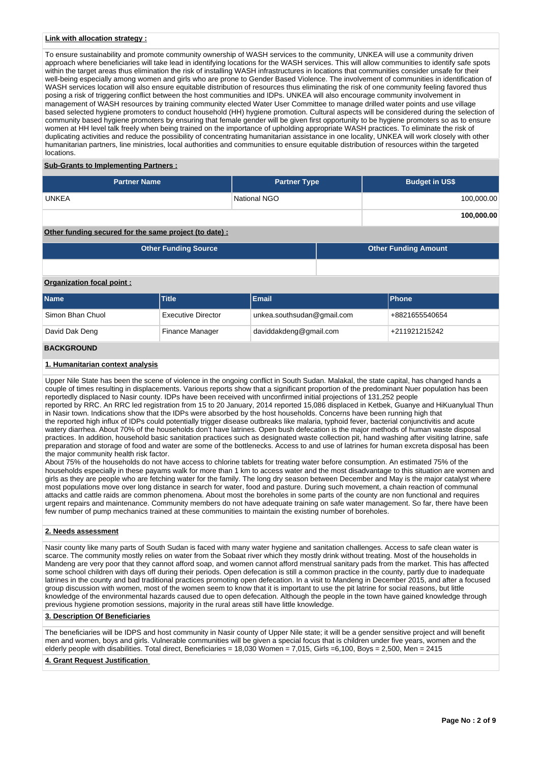## **Link with allocation strategy :**

To ensure sustainability and promote community ownership of WASH services to the community, UNKEA will use a community driven approach where beneficiaries will take lead in identifying locations for the WASH services. This will allow communities to identify safe spots within the target areas thus elimination the risk of installing WASH infrastructures in locations that communities consider unsafe for their well-being especially among women and girls who are prone to Gender Based Violence. The involvement of communities in identification of WASH services location will also ensure equitable distribution of resources thus eliminating the risk of one community feeling favored thus posing a risk of triggering conflict between the host communities and IDPs. UNKEA will also encourage community involvement in management of WASH resources by training community elected Water User Committee to manage drilled water points and use village based selected hygiene promoters to conduct household (HH) hygiene promotion. Cultural aspects will be considered during the selection of community based hygiene promoters by ensuring that female gender will be given first opportunity to be hygiene promoters so as to ensure women at HH level talk freely when being trained on the importance of upholding appropriate WASH practices. To eliminate the risk of duplicating activities and reduce the possibility of concentrating humanitarian assistance in one locality, UNKEA will work closely with other humanitarian partners, line ministries, local authorities and communities to ensure equitable distribution of resources within the targeted locations.

## **Sub-Grants to Implementing Partners :**

| <b>Partner Name</b> | <b>Partner Type</b> | <b>Budget in US\$</b> |
|---------------------|---------------------|-----------------------|
| <b>UNKEA</b>        | National NGO        | 100,000.00            |
|                     |                     | 100,000.00            |

# **Other funding secured for the same project (to date) :**

| <b>Other Funding Source</b> | <b>Other Funding Amount</b> |
|-----------------------------|-----------------------------|
|                             |                             |

### **Organization focal point :**

| <b>Name</b>      | <b>Title</b>       | Email                      | <b>IPhone</b>  |
|------------------|--------------------|----------------------------|----------------|
| Simon Bhan Chuol | Executive Director | unkea.southsudan@gmail.com | +8821655540654 |
| David Dak Deng   | Finance Manager    | daviddakdeng@gmail.com     | +211921215242  |
|                  |                    |                            |                |

#### **BACKGROUND**

## **1. Humanitarian context analysis**

Upper Nile State has been the scene of violence in the ongoing conflict in South Sudan. Malakal, the state capital, has changed hands a couple of times resulting in displacements. Various reports show that a significant proportion of the predominant Nuer population has been reportedly displaced to Nasir county. IDPs have been received with unconfirmed initial projections of 131,252 people reported by RRC. An RRC led registration from 15 to 20 January, 2014 reported 15,086 displaced in Ketbek, Guanye and HiKuanylual Thun in Nasir town. Indications show that the IDPs were absorbed by the host households. Concerns have been running high that the reported high influx of IDPs could potentially trigger disease outbreaks like malaria, typhoid fever, bacterial conjunctivitis and acute watery diarrhea. About 70% of the households don't have latrines. Open bush defecation is the major methods of human waste disposal practices. In addition, household basic sanitation practices such as designated waste collection pit, hand washing after visiting latrine, safe preparation and storage of food and water are some of the bottlenecks. Access to and use of latrines for human excreta disposal has been the major community health risk factor.

About 75% of the households do not have access to chlorine tablets for treating water before consumption. An estimated 75% of the households especially in these payams walk for more than 1 km to access water and the most disadvantage to this situation are women and girls as they are people who are fetching water for the family. The long dry season between December and May is the major catalyst where most populations move over long distance in search for water, food and pasture. During such movement, a chain reaction of communal attacks and cattle raids are common phenomena. About most the boreholes in some parts of the county are non functional and requires urgent repairs and maintenance. Community members do not have adequate training on safe water management. So far, there have been few number of pump mechanics trained at these communities to maintain the existing number of boreholes.

## **2. Needs assessment**

Nasir county like many parts of South Sudan is faced with many water hygiene and sanitation challenges. Access to safe clean water is scarce. The community mostly relies on water from the Sobaat river which they mostly drink without treating. Most of the households in Mandeng are very poor that they cannot afford soap, and women cannot afford menstrual sanitary pads from the market. This has affected some school children with days off during their periods. Open defecation is still a common practice in the county, partly due to inadequate latrines in the county and bad traditional practices promoting open defecation. In a visit to Mandeng in December 2015, and after a focused group discussion with women, most of the women seem to know that it is important to use the pit latrine for social reasons, but little knowledge of the environmental hazards caused due to open defecation. Although the people in the town have gained knowledge through previous hygiene promotion sessions, majority in the rural areas still have little knowledge.

#### **3. Description Of Beneficiaries**

The beneficiaries will be IDPS and host community in Nasir county of Upper Nile state; it will be a gender sensitive project and will benefit men and women, boys and girls. Vulnerable communities will be given a special focus that is children under five years, women and the elderly people with disabilities. Total direct, Beneficiaries =  $18,030$  Women = 7,015, Girls =6,100, Boys = 2,500, Men = 2415

#### **4. Grant Request Justification**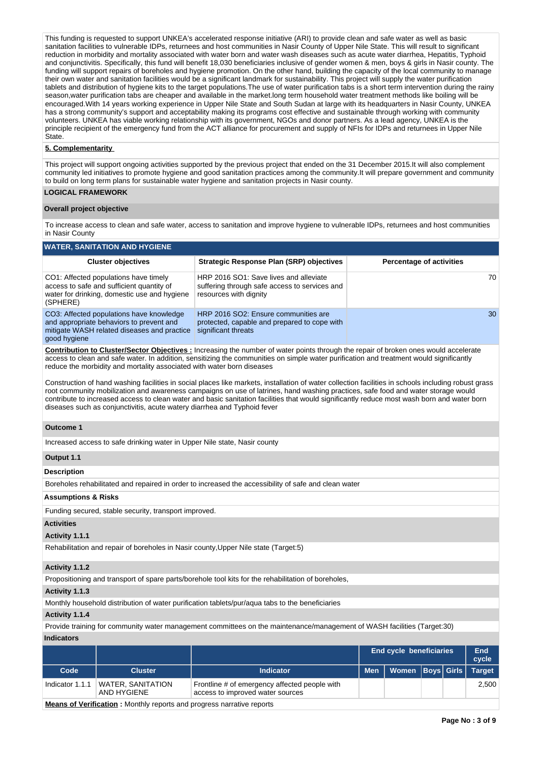This funding is requested to support UNKEA's accelerated response initiative (ARI) to provide clean and safe water as well as basic sanitation facilities to vulnerable IDPs, returnees and host communities in Nasir County of Upper Nile State. This will result to significant reduction in morbidity and mortality associated with water born and water wash diseases such as acute water diarrhea, Hepatitis, Typhoid and conjunctivitis. Specifically, this fund will benefit 18,030 beneficiaries inclusive of gender women & men, boys & girls in Nasir county. The funding will support repairs of boreholes and hygiene promotion. On the other hand, building the capacity of the local community to manage their own water and sanitation facilities would be a significant landmark for sustainability. This project will supply the water purification tablets and distribution of hygiene kits to the target populations.The use of water purification tabs is a short term intervention during the rainy season,water purification tabs are cheaper and available in the market.long term household water treatment methods like boiling will be encouraged.With 14 years working experience in Upper Nile State and South Sudan at large with its headquarters in Nasir County, UNKEA has a strong community's support and acceptability making its programs cost effective and sustainable through working with community volunteers. UNKEA has viable working relationship with its government, NGOs and donor partners. As a lead agency, UNKEA is the principle recipient of the emergency fund from the ACT alliance for procurement and supply of NFIs for IDPs and returnees in Upper Nile State.

# **5. Complementarity**

This project will support ongoing activities supported by the previous project that ended on the 31 December 2015.It will also complement community led initiatives to promote hygiene and good sanitation practices among the community.It will prepare government and community to build on long term plans for sustainable water hygiene and sanitation projects in Nasir county.

# **LOGICAL FRAMEWORK**

#### **Overall project objective**

To increase access to clean and safe water, access to sanitation and improve hygiene to vulnerable IDPs, returnees and host communities in Nasir County

# **WATER, SANITATION AND HYGIENE**

| <b>Cluster objectives</b>                                                                                                                           | <b>Strategic Response Plan (SRP) objectives</b>                                                                   | <b>Percentage of activities</b> |
|-----------------------------------------------------------------------------------------------------------------------------------------------------|-------------------------------------------------------------------------------------------------------------------|---------------------------------|
| CO1: Affected populations have timely<br>access to safe and sufficient quantity of<br>water for drinking, domestic use and hygiene<br>(SPHERE)      | HRP 2016 SO1: Save lives and alleviate<br>suffering through safe access to services and<br>resources with dignity | 70                              |
| CO3: Affected populations have knowledge<br>and appropriate behaviors to prevent and<br>mitigate WASH related diseases and practice<br>good hygiene | HRP 2016 SO2: Ensure communities are<br>protected, capable and prepared to cope with<br>significant threats       | 30                              |

**Contribution to Cluster/Sector Objectives :** Increasing the number of water points through the repair of broken ones would accelerate access to clean and safe water. In addition, sensitizing the communities on simple water purification and treatment would significantly reduce the morbidity and mortality associated with water born diseases

Construction of hand washing facilities in social places like markets, installation of water collection facilities in schools including robust grass root community mobilization and awareness campaigns on use of latrines, hand washing practices, safe food and water storage would contribute to increased access to clean water and basic sanitation facilities that would significantly reduce most wash born and water born diseases such as conjunctivitis, acute watery diarrhea and Typhoid fever

#### **Outcome 1**

Increased access to safe drinking water in Upper Nile state, Nasir county

#### **Output 1.1**

**Description**

Boreholes rehabilitated and repaired in order to increased the accessibility of safe and clean water

#### **Assumptions & Risks**

Funding secured, stable security, transport improved.

## **Activities**

#### **Activity 1.1.1**

Rehabilitation and repair of boreholes in Nasir county,Upper Nile state (Target:5)

#### **Activity 1.1.2**

Propositioning and transport of spare parts/borehole tool kits for the rehabilitation of boreholes,

### **Activity 1.1.3**

Monthly household distribution of water purification tablets/pur/aqua tabs to the beneficiaries

#### **Activity 1.1.4**

Provide training for community water management committees on the maintenance/management of WASH facilities (Target:30)

# **Indicators**

|                                                                        |                                  |                                                                                   |            | <b>End cycle beneficiaries</b> |  |  | End<br>cycle  |
|------------------------------------------------------------------------|----------------------------------|-----------------------------------------------------------------------------------|------------|--------------------------------|--|--|---------------|
| Code                                                                   | <b>Cluster</b>                   | <b>Indicator</b>                                                                  | <b>Men</b> | Women Boys Girls               |  |  | <b>Target</b> |
| Indicator 1.1.1                                                        | WATER, SANITATION<br>AND HYGIENE | Frontline # of emergency affected people with<br>access to improved water sources |            |                                |  |  | 2,500         |
| Means of Varification : Menthly reports and programs porretive reports |                                  |                                                                                   |            |                                |  |  |               |

**Means of Verification :** Monthly reports and progress narrative reports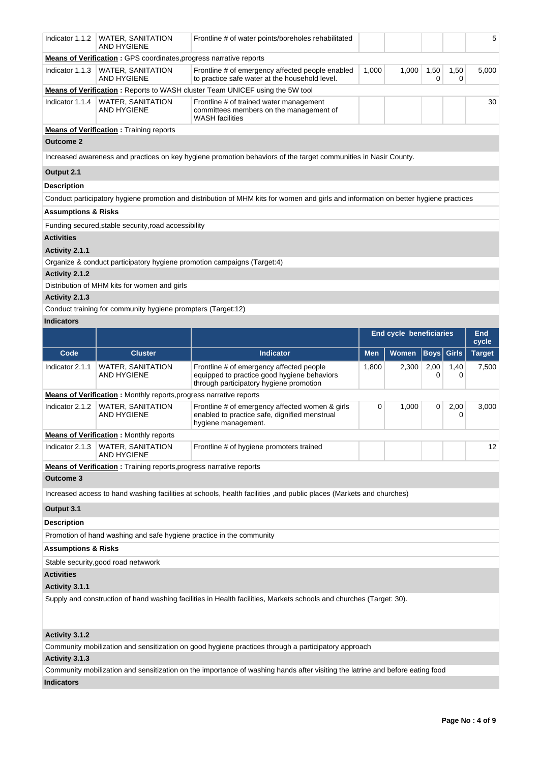| Indicator 1.1.2                | <b>WATER, SANITATION</b><br>AND HYGIENE                                                                                                                                                                                                                                         | Frontline # of water points/boreholes rehabilitated                                                                                  |                                |       |                   |                     | 5             |  |  |
|--------------------------------|---------------------------------------------------------------------------------------------------------------------------------------------------------------------------------------------------------------------------------------------------------------------------------|--------------------------------------------------------------------------------------------------------------------------------------|--------------------------------|-------|-------------------|---------------------|---------------|--|--|
| Indicator 1.1.3                | <b>Means of Verification:</b> GPS coordinates, progress narrative reports<br>1,000<br>1,000<br>1,50<br>5,000<br>WATER, SANITATION<br>Frontline # of emergency affected people enabled<br>1,50<br><b>AND HYGIENE</b><br>to practice safe water at the household level.<br>0<br>0 |                                                                                                                                      |                                |       |                   |                     |               |  |  |
|                                |                                                                                                                                                                                                                                                                                 | <b>Means of Verification:</b> Reports to WASH cluster Team UNICEF using the 5W tool                                                  |                                |       |                   |                     |               |  |  |
| Indicator 1.1.4                |                                                                                                                                                                                                                                                                                 |                                                                                                                                      |                                |       |                   |                     | 30            |  |  |
|                                | WATER, SANITATION<br>AND HYGIENE                                                                                                                                                                                                                                                | Frontline # of trained water management<br>committees members on the management of<br><b>WASH</b> facilities                         |                                |       |                   |                     |               |  |  |
|                                | <b>Means of Verification:</b> Training reports                                                                                                                                                                                                                                  |                                                                                                                                      |                                |       |                   |                     |               |  |  |
| <b>Outcome 2</b>               |                                                                                                                                                                                                                                                                                 |                                                                                                                                      |                                |       |                   |                     |               |  |  |
|                                |                                                                                                                                                                                                                                                                                 | Increased awareness and practices on key hygiene promotion behaviors of the target communities in Nasir County.                      |                                |       |                   |                     |               |  |  |
| Output 2.1                     |                                                                                                                                                                                                                                                                                 |                                                                                                                                      |                                |       |                   |                     |               |  |  |
| <b>Description</b>             |                                                                                                                                                                                                                                                                                 |                                                                                                                                      |                                |       |                   |                     |               |  |  |
|                                |                                                                                                                                                                                                                                                                                 | Conduct participatory hygiene promotion and distribution of MHM kits for women and girls and information on better hygiene practices |                                |       |                   |                     |               |  |  |
| <b>Assumptions &amp; Risks</b> |                                                                                                                                                                                                                                                                                 |                                                                                                                                      |                                |       |                   |                     |               |  |  |
|                                | Funding secured, stable security, road accessibility                                                                                                                                                                                                                            |                                                                                                                                      |                                |       |                   |                     |               |  |  |
| <b>Activities</b>              |                                                                                                                                                                                                                                                                                 |                                                                                                                                      |                                |       |                   |                     |               |  |  |
| Activity 2.1.1                 |                                                                                                                                                                                                                                                                                 |                                                                                                                                      |                                |       |                   |                     |               |  |  |
|                                | Organize & conduct participatory hygiene promotion campaigns (Target:4)                                                                                                                                                                                                         |                                                                                                                                      |                                |       |                   |                     |               |  |  |
| Activity 2.1.2                 |                                                                                                                                                                                                                                                                                 |                                                                                                                                      |                                |       |                   |                     |               |  |  |
|                                | Distribution of MHM kits for women and girls                                                                                                                                                                                                                                    |                                                                                                                                      |                                |       |                   |                     |               |  |  |
| Activity 2.1.3                 |                                                                                                                                                                                                                                                                                 |                                                                                                                                      |                                |       |                   |                     |               |  |  |
|                                | Conduct training for community hygiene prompters (Target:12)                                                                                                                                                                                                                    |                                                                                                                                      |                                |       |                   |                     |               |  |  |
| <b>Indicators</b>              |                                                                                                                                                                                                                                                                                 |                                                                                                                                      |                                |       |                   |                     |               |  |  |
|                                |                                                                                                                                                                                                                                                                                 |                                                                                                                                      | <b>End cycle beneficiaries</b> |       |                   | <b>End</b><br>cycle |               |  |  |
|                                |                                                                                                                                                                                                                                                                                 |                                                                                                                                      |                                |       |                   |                     |               |  |  |
| Code                           | <b>Cluster</b>                                                                                                                                                                                                                                                                  | <b>Indicator</b>                                                                                                                     | <b>Men</b>                     | Women | <b>Boys</b> Girls |                     | <b>Target</b> |  |  |
| Indicator 2.1.1                | WATER, SANITATION<br><b>AND HYGIENE</b>                                                                                                                                                                                                                                         | Frontline # of emergency affected people<br>equipped to practice good hygiene behaviors<br>through participatory hygiene promotion   | 1,800                          | 2,300 | 2,00<br>0         | 1,40<br>0           | 7,500         |  |  |
|                                | <b>Means of Verification</b> : Monthly reports, progress narrative reports                                                                                                                                                                                                      |                                                                                                                                      |                                |       |                   |                     |               |  |  |
| Indicator 2.1.2                | <b>WATER, SANITATION</b><br><b>AND HYGIENE</b>                                                                                                                                                                                                                                  | Frontline # of emergency affected women & girls<br>enabled to practice safe, dignified menstrual<br>hygiene management.              | 0                              | 1,000 | 0                 | 2,00<br>0           | 3,000         |  |  |
|                                | <b>Means of Verification : Monthly reports</b>                                                                                                                                                                                                                                  |                                                                                                                                      |                                |       |                   |                     |               |  |  |
|                                | Indicator 2.1.3   WATER, SANITATION<br>AND HYGIENE                                                                                                                                                                                                                              | Frontline # of hygiene promoters trained                                                                                             |                                |       |                   |                     | 12            |  |  |
|                                | <b>Means of Verification</b> : Training reports, progress narrative reports                                                                                                                                                                                                     |                                                                                                                                      |                                |       |                   |                     |               |  |  |
| <b>Outcome 3</b>               |                                                                                                                                                                                                                                                                                 |                                                                                                                                      |                                |       |                   |                     |               |  |  |
|                                |                                                                                                                                                                                                                                                                                 | Increased access to hand washing facilities at schools, health facilities , and public places (Markets and churches)                 |                                |       |                   |                     |               |  |  |
| Output 3.1                     |                                                                                                                                                                                                                                                                                 |                                                                                                                                      |                                |       |                   |                     |               |  |  |
| <b>Description</b>             |                                                                                                                                                                                                                                                                                 |                                                                                                                                      |                                |       |                   |                     |               |  |  |
|                                | Promotion of hand washing and safe hygiene practice in the community                                                                                                                                                                                                            |                                                                                                                                      |                                |       |                   |                     |               |  |  |
|                                |                                                                                                                                                                                                                                                                                 |                                                                                                                                      |                                |       |                   |                     |               |  |  |
| <b>Assumptions &amp; Risks</b> |                                                                                                                                                                                                                                                                                 |                                                                                                                                      |                                |       |                   |                     |               |  |  |
|                                | Stable security, good road netwwork                                                                                                                                                                                                                                             |                                                                                                                                      |                                |       |                   |                     |               |  |  |
| <b>Activities</b>              |                                                                                                                                                                                                                                                                                 |                                                                                                                                      |                                |       |                   |                     |               |  |  |
| Activity 3.1.1                 |                                                                                                                                                                                                                                                                                 | Supply and construction of hand washing facilities in Health facilities, Markets schools and churches (Target: 30).                  |                                |       |                   |                     |               |  |  |
| Activity 3.1.2                 |                                                                                                                                                                                                                                                                                 |                                                                                                                                      |                                |       |                   |                     |               |  |  |
|                                |                                                                                                                                                                                                                                                                                 | Community mobilization and sensitization on good hygiene practices through a participatory approach                                  |                                |       |                   |                     |               |  |  |

Community mobilization and sensitization on the importance of washing hands after visiting the latrine and before eating food

# **Indicators**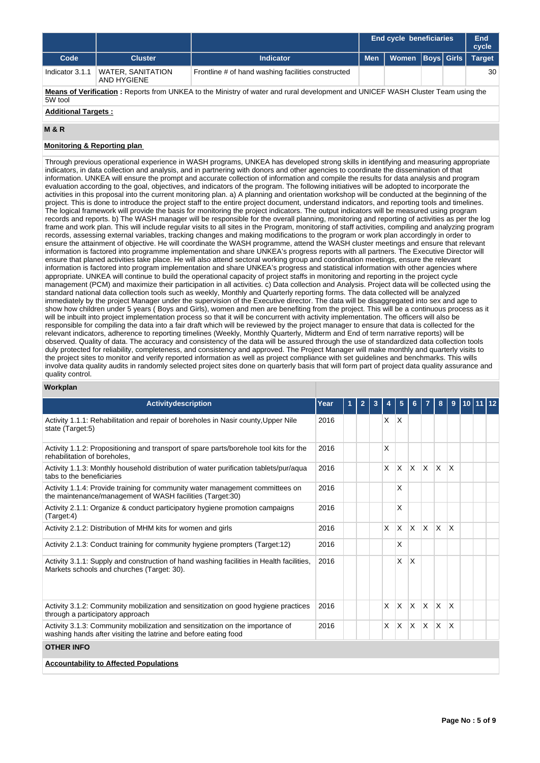|                                                                                                                                            |                                  |                                                    | End cycle beneficiaries |                  |  |  | End<br>cycle  |  |
|--------------------------------------------------------------------------------------------------------------------------------------------|----------------------------------|----------------------------------------------------|-------------------------|------------------|--|--|---------------|--|
| Code                                                                                                                                       | <b>Cluster</b>                   | <b>Indicator</b>                                   | <b>Men</b>              | Women Boys Girls |  |  | <b>Target</b> |  |
| Indicator 3.1.1                                                                                                                            | WATER, SANITATION<br>AND HYGIENE | Frontline # of hand washing facilities constructed |                         |                  |  |  | 30            |  |
| Means of Verification: Reports from UNKEA to the Ministry of water and rural development and UNICEF WASH Cluster Team using the<br>5W tool |                                  |                                                    |                         |                  |  |  |               |  |
| <b>Additional Targets:</b>                                                                                                                 |                                  |                                                    |                         |                  |  |  |               |  |

#### **M & R**

# **Monitoring & Reporting plan**

Through previous operational experience in WASH programs, UNKEA has developed strong skills in identifying and measuring appropriate indicators, in data collection and analysis, and in partnering with donors and other agencies to coordinate the dissemination of that information. UNKEA will ensure the prompt and accurate collection of information and compile the results for data analysis and program evaluation according to the goal, objectives, and indicators of the program. The following initiatives will be adopted to incorporate the activities in this proposal into the current monitoring plan. a) A planning and orientation workshop will be conducted at the beginning of the project. This is done to introduce the project staff to the entire project document, understand indicators, and reporting tools and timelines. The logical framework will provide the basis for monitoring the project indicators. The output indicators will be measured using program records and reports. b) The WASH manager will be responsible for the overall planning, monitoring and reporting of activities as per the log frame and work plan. This will include regular visits to all sites in the Program, monitoring of staff activities, compiling and analyzing program records, assessing external variables, tracking changes and making modifications to the program or work plan accordingly in order to ensure the attainment of objective. He will coordinate the WASH programme, attend the WASH cluster meetings and ensure that relevant information is factored into programme implementation and share UNKEA's progress reports with all partners. The Executive Director will ensure that planed activities take place. He will also attend sectoral working group and coordination meetings, ensure the relevant information is factored into program implementation and share UNKEA's progress and statistical information with other agencies where appropriate. UNKEA will continue to build the operational capacity of project staffs in monitoring and reporting in the project cycle management (PCM) and maximize their participation in all activities. c) Data collection and Analysis. Project data will be collected using the standard national data collection tools such as weekly, Monthly and Quarterly reporting forms. The data collected will be analyzed immediately by the project Manager under the supervision of the Executive director. The data will be disaggregated into sex and age to show how children under 5 years ( Boys and Girls), women and men are benefiting from the project. This will be a continuous process as it will be inbuilt into project implementation process so that it will be concurrent with activity implementation. The officers will also be responsible for compiling the data into a fair draft which will be reviewed by the project manager to ensure that data is collected for the relevant indicators, adherence to reporting timelines (Weekly, Monthly Quarterly, Midterm and End of term narrative reports) will be observed. Quality of data. The accuracy and consistency of the data will be assured through the use of standardized data collection tools duly protected for reliability, completeness, and consistency and approved. The Project Manager will make monthly and quarterly visits to the project sites to monitor and verify reported information as well as project compliance with set guidelines and benchmarks. This wills involve data quality audits in randomly selected project sites done on quarterly basis that will form part of project data quality assurance and quality control.

## **Workplan**

| <b>Activitydescription</b>                                                                                                                       | Year | $\mathbf{2}$ | 3 |   | 5            | 6        |                         | 8            | 9            | 10 I |  |
|--------------------------------------------------------------------------------------------------------------------------------------------------|------|--------------|---|---|--------------|----------|-------------------------|--------------|--------------|------|--|
| Activity 1.1.1: Rehabilitation and repair of boreholes in Nasir county, Upper Nile<br>state (Target:5)                                           | 2016 |              |   | X | X            |          |                         |              |              |      |  |
| Activity 1.1.2: Propositioning and transport of spare parts/borehole tool kits for the<br>rehabilitation of boreholes,                           | 2016 |              |   | X |              |          |                         |              |              |      |  |
| Activity 1.1.3: Monthly household distribution of water purification tablets/pur/aqua<br>tabs to the beneficiaries                               | 2016 |              |   | X | X            | $\times$ | <sup>X</sup>            | X.           | X            |      |  |
| Activity 1.1.4: Provide training for community water management committees on<br>the maintenance/management of WASH facilities (Target:30)       | 2016 |              |   |   | X            |          |                         |              |              |      |  |
| Activity 2.1.1: Organize & conduct participatory hygiene promotion campaigns<br>(Target:4)                                                       | 2016 |              |   |   | X            |          |                         |              |              |      |  |
| Activity 2.1.2: Distribution of MHM kits for women and girls                                                                                     | 2016 |              |   | X | $\mathsf{x}$ | $\times$ | <sup>X</sup>            | <b>X</b>     | $\mathsf{x}$ |      |  |
| Activity 2.1.3: Conduct training for community hygiene prompters (Target:12)                                                                     | 2016 |              |   |   | X            |          |                         |              |              |      |  |
| Activity 3.1.1: Supply and construction of hand washing facilities in Health facilities,<br>Markets schools and churches (Target: 30).           | 2016 |              |   |   | X            | X        |                         |              |              |      |  |
| Activity 3.1.2: Community mobilization and sensitization on good hygiene practices<br>through a participatory approach                           | 2016 |              |   | X | $\mathsf{x}$ | X        | $\overline{\mathsf{x}}$ | $\mathsf{X}$ | X            |      |  |
| Activity 3.1.3: Community mobilization and sensitization on the importance of<br>washing hands after visiting the latrine and before eating food | 2016 |              |   | X | X            | X        | $\overline{X}$          | X            | X            |      |  |
| <b>OTHER INFO</b>                                                                                                                                |      |              |   |   |              |          |                         |              |              |      |  |
| <b>Accountability to Affected Populations</b>                                                                                                    |      |              |   |   |              |          |                         |              |              |      |  |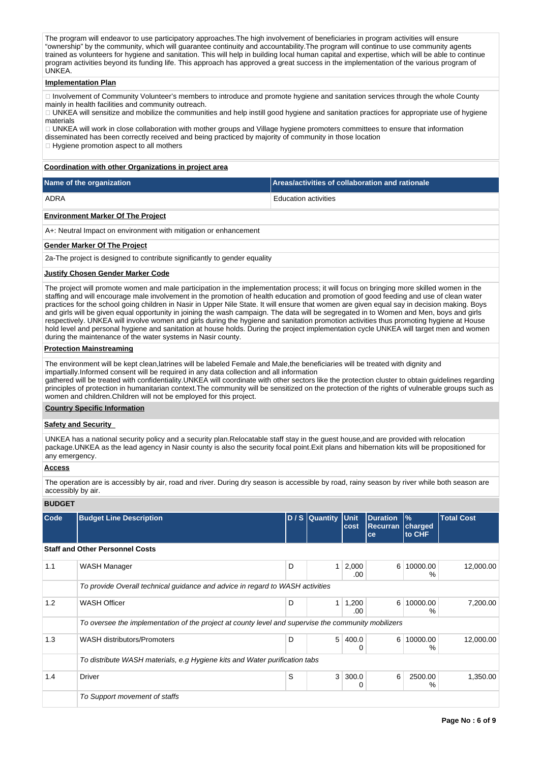The program will endeavor to use participatory approaches. The high involvement of beneficiaries in program activities will ensure "ownership" by the community, which will guarantee continuity and accountability.The program will continue to use community agents trained as volunteers for hygiene and sanitation. This will help in building local human capital and expertise, which will be able to continue program activities beyond its funding life. This approach has approved a great success in the implementation of the various program of UNKEA.

#### **Implementation Plan**

□ Involvement of Community Volunteer's members to introduce and promote hygiene and sanitation services through the whole County mainly in health facilities and community outreach.

UNKEA will sensitize and mobilize the communities and help instill good hygiene and sanitation practices for appropriate use of hygiene materials

UNKEA will work in close collaboration with mother groups and Village hygiene promoters committees to ensure that information disseminated has been correctly received and being practiced by majority of community in those location

 $\Box$  Hygiene promotion aspect to all mothers

#### **Coordination with other Organizations in project area**

| Name of the organization           | Areas/activities of collaboration and rationale |
|------------------------------------|-------------------------------------------------|
| ADRA                               | Education activities                            |
| Factor and the deal Of The Decleat |                                                 |

**Environment Marker Of The Project**

A+: Neutral Impact on environment with mitigation or enhancement

#### **Gender Marker Of The Project**

2a-The project is designed to contribute significantly to gender equality

#### **Justify Chosen Gender Marker Code**

The project will promote women and male participation in the implementation process; it will focus on bringing more skilled women in the staffing and will encourage male involvement in the promotion of health education and promotion of good feeding and use of clean water practices for the school going children in Nasir in Upper Nile State. It will ensure that women are given equal say in decision making. Boys and girls will be given equal opportunity in joining the wash campaign. The data will be segregated in to Women and Men, boys and girls respectively. UNKEA will involve women and girls during the hygiene and sanitation promotion activities thus promoting hygiene at House hold level and personal hygiene and sanitation at house holds. During the project implementation cycle UNKEA will target men and women during the maintenance of the water systems in Nasir county.

## **Protection Mainstreaming**

The environment will be kept clean,latrines will be labeled Female and Male,the beneficiaries will be treated with dignity and impartially.Informed consent will be required in any data collection and all information

gathered will be treated with confidentiality.UNKEA will coordinate with other sectors like the protection cluster to obtain guidelines regarding principles of protection in humanitarian context.The community will be sensitized on the protection of the rights of vulnerable groups such as women and children.Children will not be employed for this project.

# **Country Specific Information**

#### **Safety and Security**

UNKEA has a national security policy and a security plan.Relocatable staff stay in the guest house,and are provided with relocation package.UNKEA as the lead agency in Nasir county is also the security focal point.Exit plans and hibernation kits will be propositioned for any emergency.

#### **Access**

The operation are is accessibly by air, road and river. During dry season is accessible by road, rainy season by river while both season are accessibly by air.

## **BUDGET**

| Code | <b>Budget Line Description</b>                                                                      |   | D / S Quantity Unit | cost         | <b>Duration</b><br><b>Recurran</b><br>ce | $\frac{9}{6}$<br>charged<br>to CHF | <b>Total Cost</b> |
|------|-----------------------------------------------------------------------------------------------------|---|---------------------|--------------|------------------------------------------|------------------------------------|-------------------|
|      | <b>Staff and Other Personnel Costs</b>                                                              |   |                     |              |                                          |                                    |                   |
| 1.1  | WASH Manager                                                                                        | D | $\mathbf{1}$        | 2,000<br>.00 | 6                                        | 10000.00<br>%                      | 12,000.00         |
|      | To provide Overall technical guidance and advice in regard to WASH activities                       |   |                     |              |                                          |                                    |                   |
| 1.2  | <b>WASH Officer</b>                                                                                 | D | 1 <sup>1</sup>      | 1,200<br>.00 | 6 <sup>1</sup>                           | 10000.00<br>$\%$                   | 7,200.00          |
|      | To oversee the implementation of the project at county level and supervise the community mobilizers |   |                     |              |                                          |                                    |                   |
| 1.3  | <b>WASH distributors/Promoters</b>                                                                  | D | 5                   | 400.0<br>0   | 6 <sup>1</sup>                           | 10000.00<br>%                      | 12,000.00         |
|      | To distribute WASH materials, e.g Hygiene kits and Water purification tabs                          |   |                     |              |                                          |                                    |                   |
| 1.4  | <b>Driver</b>                                                                                       | S | 3                   | 300.0<br>0   | 6                                        | 2500.00<br>%                       | 1,350.00          |
|      | To Support movement of staffs                                                                       |   |                     |              |                                          |                                    |                   |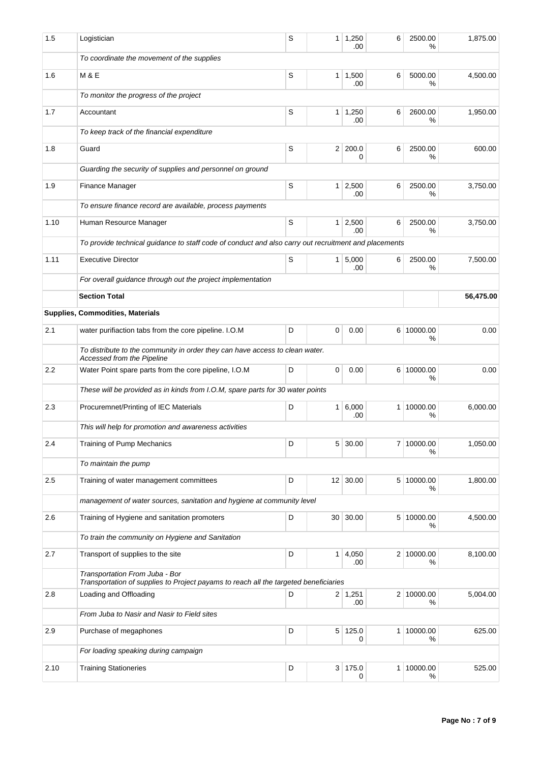| 1.5  | Logistician                                                                                                            | S | $\mathbf{1}$    | 1,250<br>.00                | 6 | 2500.00<br>%    | 1,875.00  |
|------|------------------------------------------------------------------------------------------------------------------------|---|-----------------|-----------------------------|---|-----------------|-----------|
|      | To coordinate the movement of the supplies                                                                             |   |                 |                             |   |                 |           |
| 1.6  | <b>M &amp; E</b>                                                                                                       | S |                 | $1 \mid 1,500$<br>.00       | 6 | 5000.00<br>%    | 4,500.00  |
|      | To monitor the progress of the project                                                                                 |   |                 |                             |   |                 |           |
| 1.7  | Accountant                                                                                                             | S |                 | $1 \mid 1,250$<br>.00       | 6 | 2600.00<br>%    | 1,950.00  |
|      | To keep track of the financial expenditure                                                                             |   |                 |                             |   |                 |           |
| 1.8  | Guard                                                                                                                  | S | 2 <sup>1</sup>  | 200.0<br>0                  | 6 | 2500.00<br>%    | 600.00    |
|      | Guarding the security of supplies and personnel on ground                                                              |   |                 |                             |   |                 |           |
| 1.9  | Finance Manager                                                                                                        | S | 1 <sup>1</sup>  | 2,500<br>.00                | 6 | 2500.00<br>℅    | 3,750.00  |
|      | To ensure finance record are available, process payments                                                               |   |                 |                             |   |                 |           |
| 1.10 | Human Resource Manager                                                                                                 | S |                 | $1 \mid 2,500$<br>.00       | 6 | 2500.00<br>%    | 3,750.00  |
|      | To provide technical guidance to staff code of conduct and also carry out recruitment and placements                   |   |                 |                             |   |                 |           |
| 1.11 | <b>Executive Director</b>                                                                                              | S |                 | $1 \overline{5,000}$<br>.00 | 6 | 2500.00<br>%    | 7,500.00  |
|      | For overall guidance through out the project implementation                                                            |   |                 |                             |   |                 |           |
|      | <b>Section Total</b>                                                                                                   |   |                 |                             |   |                 | 56,475.00 |
|      | Supplies, Commodities, Materials                                                                                       |   |                 |                             |   |                 |           |
| 2.1  | water purifiaction tabs from the core pipeline. I.O.M                                                                  | D | 0               | 0.00                        |   | 6 10000.00<br>% | 0.00      |
|      | To distribute to the community in order they can have access to clean water.<br>Accessed from the Pipeline             |   |                 |                             |   |                 |           |
| 2.2  | Water Point spare parts from the core pipeline, I.O.M                                                                  | D | 0               | 0.00                        |   | 6 10000.00<br>℅ | 0.00      |
|      | These will be provided as in kinds from I.O.M, spare parts for 30 water points                                         |   |                 |                             |   |                 |           |
| 2.3  | Procuremnet/Printing of IEC Materials                                                                                  | D |                 | 1 6,000<br>.00              |   | 1 10000.00<br>℅ | 6,000.00  |
|      | This will help for promotion and awareness activities                                                                  |   |                 |                             |   |                 |           |
| 2.4  | <b>Training of Pump Mechanics</b>                                                                                      | D |                 | 5 30.00                     |   | 7 10000.00<br>℅ | 1,050.00  |
|      | To maintain the pump                                                                                                   |   |                 |                             |   |                 |           |
| 2.5  | Training of water management committees                                                                                | D |                 | $12 \mid 30.00$             |   | 5 10000.00<br>% | 1,800.00  |
|      | management of water sources, sanitation and hygiene at community level                                                 |   |                 |                             |   |                 |           |
| 2.6  | Training of Hygiene and sanitation promoters                                                                           | D | 30 <sup>1</sup> | 30.00                       |   | 5 10000.00<br>℅ | 4,500.00  |
|      | To train the community on Hygiene and Sanitation                                                                       |   |                 |                             |   |                 |           |
| 2.7  | Transport of supplies to the site                                                                                      | D | $\mathbf{1}$    | 4,050<br>.00                |   | 2 10000.00<br>℅ | 8,100.00  |
|      | Transportation From Juba - Bor<br>Transportation of supplies to Project payams to reach all the targeted beneficiaries |   |                 |                             |   |                 |           |
| 2.8  | Loading and Offloading                                                                                                 | D |                 | $2 \mid 1,251$<br>.00       |   | 2 10000.00<br>℅ | 5,004.00  |
|      | From Juba to Nasir and Nasir to Field sites                                                                            |   |                 |                             |   |                 |           |
| 2.9  | Purchase of megaphones                                                                                                 | D | 5 <sup>5</sup>  | 125.0<br>0                  |   | 1 10000.00<br>℅ | 625.00    |
|      | For loading speaking during campaign                                                                                   |   |                 |                             |   |                 |           |
| 2.10 | <b>Training Stationeries</b>                                                                                           | D |                 | 3 175.0<br>0                |   | 1 10000.00<br>% | 525.00    |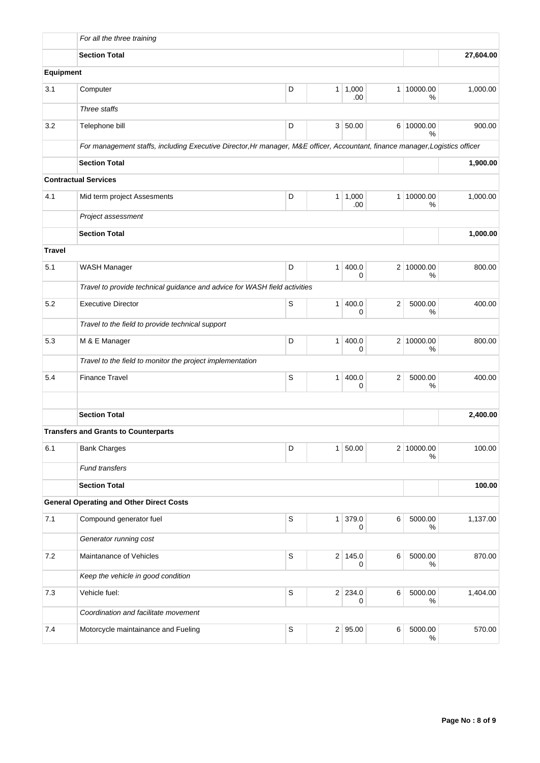|               | For all the three training                                                                                                   |             |              |              |                |                 |           |
|---------------|------------------------------------------------------------------------------------------------------------------------------|-------------|--------------|--------------|----------------|-----------------|-----------|
|               | <b>Section Total</b>                                                                                                         |             |              |              |                |                 | 27,604.00 |
| Equipment     |                                                                                                                              |             |              |              |                |                 |           |
| 3.1           | Computer                                                                                                                     | D           | 1            | 1,000<br>.00 | 1 <sup>1</sup> | 10000.00<br>%   | 1,000.00  |
|               | Three staffs                                                                                                                 |             |              |              |                |                 |           |
| 3.2           | Telephone bill                                                                                                               | D           |              | 3   50.00    |                | 6 10000.00<br>% | 900.00    |
|               | For management staffs, including Executive Director, Hr manager, M&E officer, Accountant, finance manager, Logistics officer |             |              |              |                |                 |           |
|               | <b>Section Total</b>                                                                                                         |             |              |              |                |                 | 1,900.00  |
|               | <b>Contractual Services</b>                                                                                                  |             |              |              |                |                 |           |
| 4.1           | Mid term project Assesments                                                                                                  | D           | $\mathbf{1}$ | 1,000<br>.00 | $\mathbf{1}$   | 10000.00<br>%   | 1,000.00  |
|               | Project assessment                                                                                                           |             |              |              |                |                 |           |
|               | <b>Section Total</b>                                                                                                         |             |              |              |                |                 | 1,000.00  |
| <b>Travel</b> |                                                                                                                              |             |              |              |                |                 |           |
| 5.1           | <b>WASH Manager</b>                                                                                                          | D           | 1            | 400.0<br>0   |                | 2 10000.00<br>% | 800.00    |
|               | Travel to provide technical guidance and advice for WASH field activities                                                    |             |              |              |                |                 |           |
| 5.2           | <b>Executive Director</b>                                                                                                    | S           | $\mathbf{1}$ | 400.0<br>0   | 2              | 5000.00<br>%    | 400.00    |
|               | Travel to the field to provide technical support                                                                             |             |              |              |                |                 |           |
| 5.3           | M & E Manager                                                                                                                | D           | $\mathbf{1}$ | 400.0<br>0   | 2 <sup>1</sup> | 10000.00<br>%   | 800.00    |
|               | Travel to the field to monitor the project implementation                                                                    |             |              |              |                |                 |           |
| 5.4           | <b>Finance Travel</b>                                                                                                        | S           | 1            | 400.0<br>0   | 2              | 5000.00<br>%    | 400.00    |
|               |                                                                                                                              |             |              |              |                |                 |           |
|               | <b>Section Total</b>                                                                                                         |             |              |              |                |                 | 2,400.00  |
|               | <b>Transfers and Grants to Counterparts</b>                                                                                  |             |              |              |                |                 |           |
| 6.1           | <b>Bank Charges</b>                                                                                                          | D           | $\mathbf{1}$ | 50.00        |                | 2 10000.00<br>% | 100.00    |
|               | <b>Fund transfers</b>                                                                                                        |             |              |              |                |                 |           |
|               | <b>Section Total</b>                                                                                                         |             |              |              |                |                 | 100.00    |
|               | <b>General Operating and Other Direct Costs</b>                                                                              |             |              |              |                |                 |           |
| 7.1           | Compound generator fuel                                                                                                      | S           | $\mathbf{1}$ | 379.0<br>0   | 6              | 5000.00<br>%    | 1,137.00  |
|               | Generator running cost                                                                                                       |             |              |              |                |                 |           |
| 7.2           | Maintanance of Vehicles                                                                                                      | S           |              | 2 145.0<br>0 | 6              | 5000.00<br>℅    | 870.00    |
|               | Keep the vehicle in good condition                                                                                           |             |              |              |                |                 |           |
| 7.3           | Vehicle fuel:                                                                                                                | $\mathsf S$ |              | 2 234.0<br>0 | 6              | 5000.00<br>%    | 1,404.00  |
|               | Coordination and facilitate movement                                                                                         |             |              |              |                |                 |           |
| 7.4           | Motorcycle maintainance and Fueling                                                                                          | S           |              | 2 95.00      | 6              | 5000.00<br>%    | 570.00    |